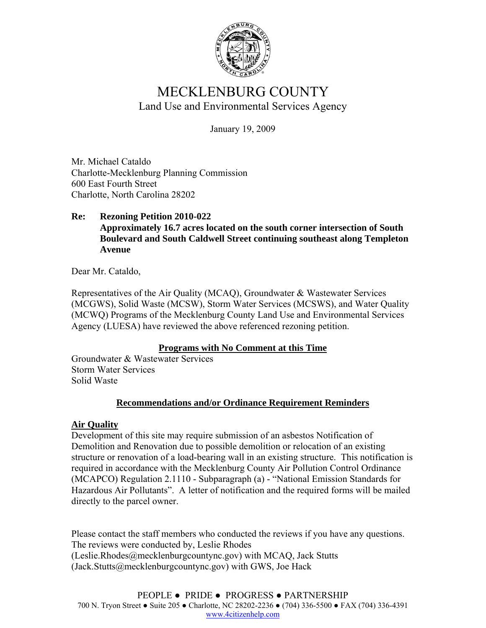

# MECKLENBURG COUNTY Land Use and Environmental Services Agency

January 19, 2009

Mr. Michael Cataldo Charlotte-Mecklenburg Planning Commission 600 East Fourth Street Charlotte, North Carolina 28202

#### **Re: Rezoning Petition 2010-022 Approximately 16.7 acres located on the south corner intersection of South Boulevard and South Caldwell Street continuing southeast along Templeton Avenue**

Dear Mr. Cataldo,

Representatives of the Air Quality (MCAQ), Groundwater & Wastewater Services (MCGWS), Solid Waste (MCSW), Storm Water Services (MCSWS), and Water Quality (MCWQ) Programs of the Mecklenburg County Land Use and Environmental Services Agency (LUESA) have reviewed the above referenced rezoning petition.

## **Programs with No Comment at this Time**

Groundwater & Wastewater Services Storm Water Services Solid Waste

## **Recommendations and/or Ordinance Requirement Reminders**

## **Air Quality**

Development of this site may require submission of an asbestos Notification of Demolition and Renovation due to possible demolition or relocation of an existing structure or renovation of a load-bearing wall in an existing structure. This notification is required in accordance with the Mecklenburg County Air Pollution Control Ordinance (MCAPCO) Regulation 2.1110 - Subparagraph (a) - "National Emission Standards for Hazardous Air Pollutants". A letter of notification and the required forms will be mailed directly to the parcel owner.

Please contact the staff members who conducted the reviews if you have any questions. The reviews were conducted by, Leslie Rhodes (Leslie.Rhodes@mecklenburgcountync.gov) with MCAQ, Jack Stutts (Jack.Stutts@mecklenburgcountync.gov) with GWS, Joe Hack